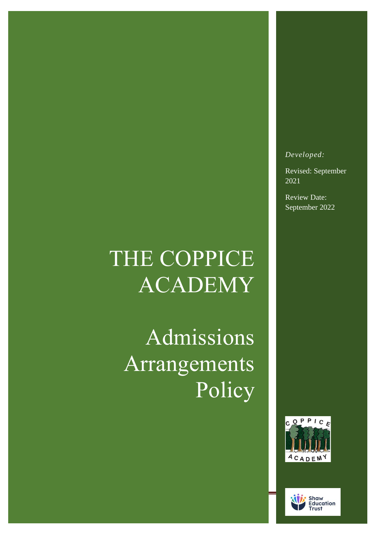## THE COPPICE ACADEMY

Admissions Arrangements Policy



Revised: September 2021

Review Date: September 2022



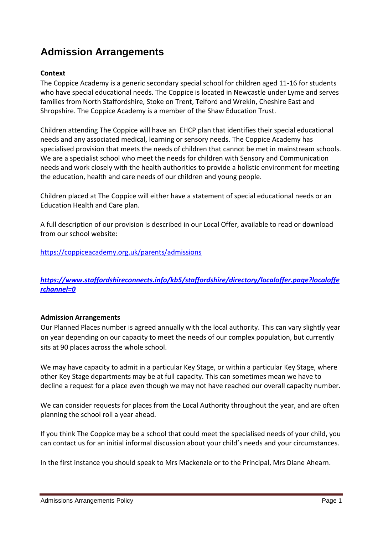## **Admission Arrangements**

## **Context**

The Coppice Academy is a generic secondary special school for children aged 11-16 for students who have special educational needs. The Coppice is located in Newcastle under Lyme and serves families from North Staffordshire, Stoke on Trent, Telford and Wrekin, Cheshire East and Shropshire. The Coppice Academy is a member of the Shaw Education Trust.

Children attending The Coppice will have an EHCP plan that identifies their special educational needs and any associated medical, learning or sensory needs. The Coppice Academy has specialised provision that meets the needs of children that cannot be met in mainstream schools. We are a specialist school who meet the needs for children with Sensory and Communication needs and work closely with the health authorities to provide a holistic environment for meeting the education, health and care needs of our children and young people.

Children placed at The Coppice will either have a statement of special educational needs or an Education Health and Care plan.

A full description of our provision is described in our Local Offer, available to read or download from our school website:

<https://coppiceacademy.org.uk/parents/admissions>

*[https://www.staffordshireconnects.info/kb5/staffordshire/directory/localoffer.page?localoffe](https://www.staffordshireconnects.info/kb5/staffordshire/directory/localoffer.page?localofferchannel=0) [rchannel=0](https://www.staffordshireconnects.info/kb5/staffordshire/directory/localoffer.page?localofferchannel=0)*

## **Admission Arrangements**

Our Planned Places number is agreed annually with the local authority. This can vary slightly year on year depending on our capacity to meet the needs of our complex population, but currently sits at 90 places across the whole school.

We may have capacity to admit in a particular Key Stage, or within a particular Key Stage, where other Key Stage departments may be at full capacity. This can sometimes mean we have to decline a request for a place even though we may not have reached our overall capacity number.

We can consider requests for places from the Local Authority throughout the year, and are often planning the school roll a year ahead.

If you think The Coppice may be a school that could meet the specialised needs of your child, you can contact us for an initial informal discussion about your child's needs and your circumstances.

In the first instance you should speak to Mrs Mackenzie or to the Principal, Mrs Diane Ahearn.